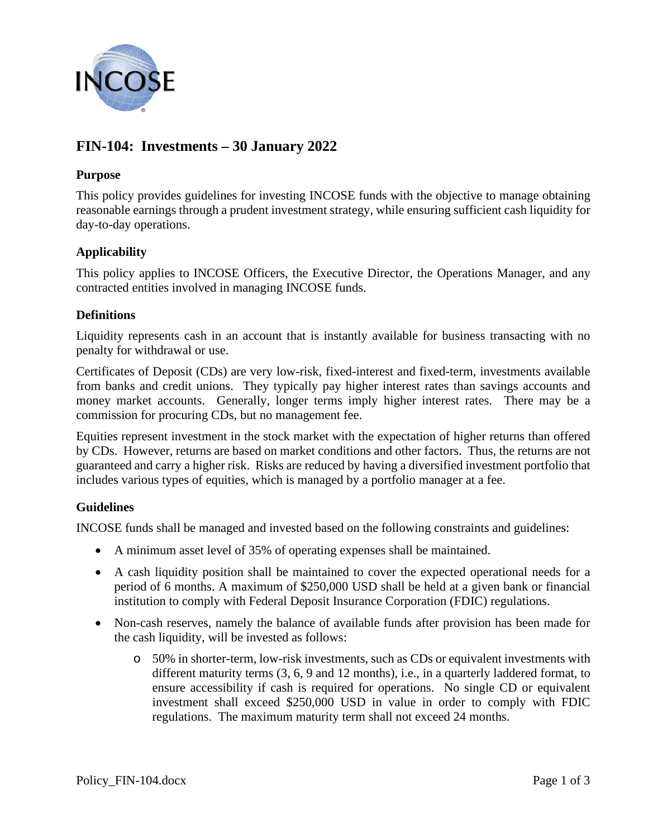

# **FIN-104: Investments – 30 January 2022**

## **Purpose**

This policy provides guidelines for investing INCOSE funds with the objective to manage obtaining reasonable earnings through a prudent investment strategy, while ensuring sufficient cash liquidity for day-to-day operations.

## **Applicability**

This policy applies to INCOSE Officers, the Executive Director, the Operations Manager, and any contracted entities involved in managing INCOSE funds.

## **Definitions**

Liquidity represents cash in an account that is instantly available for business transacting with no penalty for withdrawal or use.

Certificates of Deposit (CDs) are very low-risk, fixed-interest and fixed-term, investments available from banks and credit unions. They typically pay higher interest rates than savings accounts and money market accounts. Generally, longer terms imply higher interest rates. There may be a commission for procuring CDs, but no management fee.

Equities represent investment in the stock market with the expectation of higher returns than offered by CDs. However, returns are based on market conditions and other factors. Thus, the returns are not guaranteed and carry a higher risk. Risks are reduced by having a diversified investment portfolio that includes various types of equities, which is managed by a portfolio manager at a fee.

## **Guidelines**

INCOSE funds shall be managed and invested based on the following constraints and guidelines:

- A minimum asset level of 35% of operating expenses shall be maintained.
- A cash liquidity position shall be maintained to cover the expected operational needs for a period of 6 months. A maximum of \$250,000 USD shall be held at a given bank or financial institution to comply with Federal Deposit Insurance Corporation (FDIC) regulations.
- Non-cash reserves, namely the balance of available funds after provision has been made for the cash liquidity, will be invested as follows:
	- o 50% in shorter-term, low-risk investments, such as CDs or equivalent investments with different maturity terms (3, 6, 9 and 12 months), i.e., in a quarterly laddered format, to ensure accessibility if cash is required for operations. No single CD or equivalent investment shall exceed \$250,000 USD in value in order to comply with FDIC regulations. The maximum maturity term shall not exceed 24 months.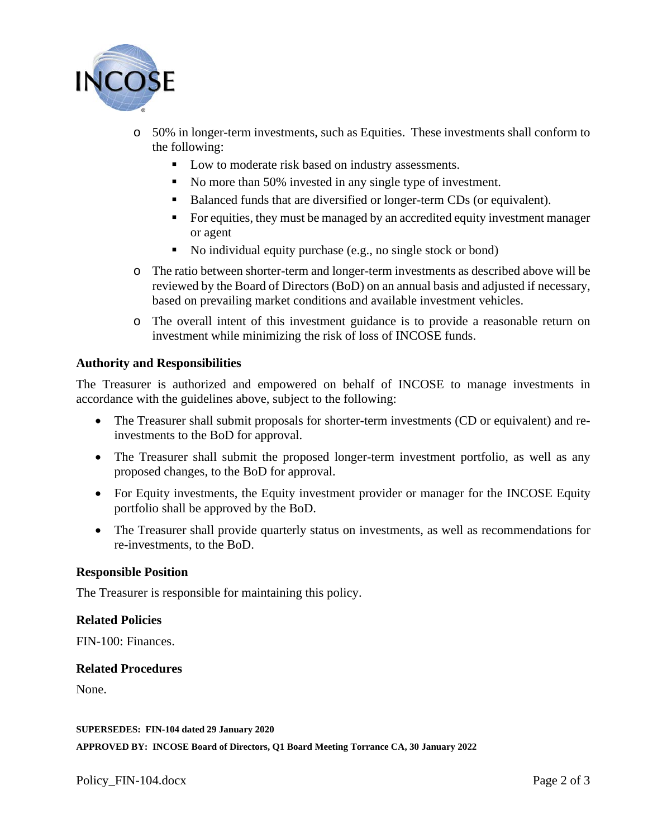

- o 50% in longer-term investments, such as Equities. These investments shall conform to the following:
	- Low to moderate risk based on industry assessments.
	- No more than 50% invested in any single type of investment.
	- Balanced funds that are diversified or longer-term CDs (or equivalent).
	- For equities, they must be managed by an accredited equity investment manager or agent
	- No individual equity purchase (e.g., no single stock or bond)
- o The ratio between shorter-term and longer-term investments as described above will be reviewed by the Board of Directors (BoD) on an annual basis and adjusted if necessary, based on prevailing market conditions and available investment vehicles.
- o The overall intent of this investment guidance is to provide a reasonable return on investment while minimizing the risk of loss of INCOSE funds.

#### **Authority and Responsibilities**

The Treasurer is authorized and empowered on behalf of INCOSE to manage investments in accordance with the guidelines above, subject to the following:

- The Treasurer shall submit proposals for shorter-term investments (CD or equivalent) and reinvestments to the BoD for approval.
- The Treasurer shall submit the proposed longer-term investment portfolio, as well as any proposed changes, to the BoD for approval.
- For Equity investments, the Equity investment provider or manager for the INCOSE Equity portfolio shall be approved by the BoD.
- The Treasurer shall provide quarterly status on investments, as well as recommendations for re-investments, to the BoD.

#### **Responsible Position**

The Treasurer is responsible for maintaining this policy.

#### **Related Policies**

FIN-100: Finances.

#### **Related Procedures**

None.

**SUPERSEDES: FIN-104 dated 29 January 2020**

**APPROVED BY: INCOSE Board of Directors, Q1 Board Meeting Torrance CA, 30 January 2022**